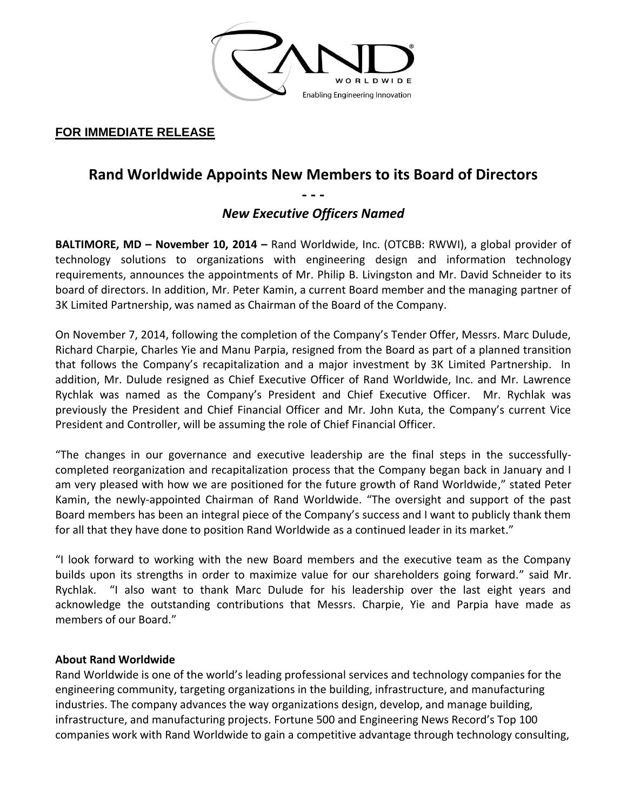

### **FOR IMMEDIATE RELEASE**

# **Rand Worldwide Appoints New Members to its Board of Directors**

**- - -**

## *New Executive Officers Named*

**BALTIMORE, MD – November 10, 2014 –** Rand Worldwide, Inc. (OTCBB: RWWI), a global provider of technology solutions to organizations with engineering design and information technology requirements, announces the appointments of Mr. Philip B. Livingston and Mr. David Schneider to its board of directors. In addition, Mr. Peter Kamin, a current Board member and the managing partner of 3K Limited Partnership, was named as Chairman of the Board of the Company.

On November 7, 2014, following the completion of the Company's Tender Offer, Messrs. Marc Dulude, Richard Charpie, Charles Yie and Manu Parpia, resigned from the Board as part of a planned transition that follows the Company's recapitalization and a major investment by 3K Limited Partnership. In addition, Mr. Dulude resigned as Chief Executive Officer of Rand Worldwide, Inc. and Mr. Lawrence Rychlak was named as the Company's President and Chief Executive Officer. Mr. Rychlak was previously the President and Chief Financial Officer and Mr. John Kuta, the Company's current Vice President and Controller, will be assuming the role of Chief Financial Officer.

"The changes in our governance and executive leadership are the final steps in the successfullycompleted reorganization and recapitalization process that the Company began back in January and I am very pleased with how we are positioned for the future growth of Rand Worldwide," stated Peter Kamin, the newly-appointed Chairman of Rand Worldwide. "The oversight and support of the past Board members has been an integral piece of the Company's success and I want to publicly thank them for all that they have done to position Rand Worldwide as a continued leader in its market."

"I look forward to working with the new Board members and the executive team as the Company builds upon its strengths in order to maximize value for our shareholders going forward." said Mr. Rychlak. "I also want to thank Marc Dulude for his leadership over the last eight years and acknowledge the outstanding contributions that Messrs. Charpie, Yie and Parpia have made as members of our Board."

#### **About Rand Worldwide**

Rand Worldwide is one of the world's leading professional services and technology companies for the engineering community, targeting organizations in the building, infrastructure, and manufacturing industries. The company advances the way organizations design, develop, and manage building, infrastructure, and manufacturing projects. Fortune 500 and Engineering News Record's Top 100 companies work with Rand Worldwide to gain a competitive advantage through technology consulting,